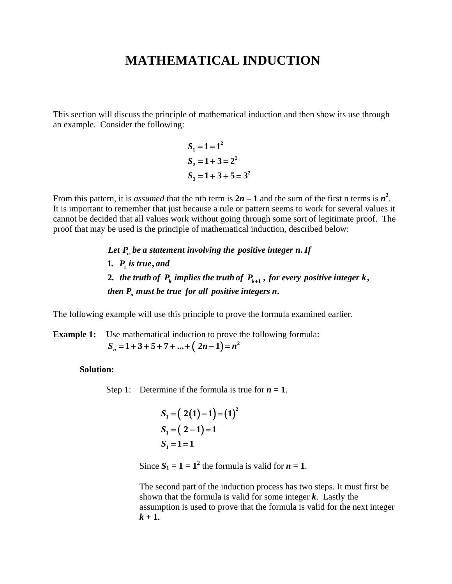## **MATHEMATICAL INDUCTION**

This section will discuss the principle of mathematical induction and then show its use through an example. Consider the following:

> $S_1 = 1 = 1^2$  $S_2 = 1 + 3 = 2^2$  $S_3 = 1 + 3 + 5 = 3^2$  $_1 = 1 = 1$  $2^2 = 1 + 3 = 2$  $3 = 1+3+5=3$

From this pattern, it is *assumed* that the nth term is  $2n - 1$  and the sum of the first n terms is  $n^2$ . It is important to remember that just because a rule or pattern seems to work for several values it cannot be decided that all values work without going through some sort of legitimate proof. The proof that may be used is the principle of mathematical induction, described below:

 $\frac{1}{1}$ 2. the truth of  $P_k$  implies the truth of  $P_{k+1}$  , for every positive integer  $k$  , **1** *. P is true, and* Let  $P_n$  be a statement involving the positive integer  $n.$  If *then*  $P_n$  *must be true for all positive integers n.* 

The following example will use this principle to prove the formula examined earlier.

**Example 1:** Use mathematical induction to prove the following formula:  $S_n = 1 + 3 + 5 + 7 + ... + (2n-1) = n^2$ 

## **Solution:**

Step 1: Determine if the formula is true for  $n = 1$ .

$$
S_1 = (2(1) - 1) = (1)^2
$$
  
\n
$$
S_1 = (2 - 1) = 1
$$
  
\n
$$
S_1 = 1 = 1
$$

Since  $S_1 = 1 = 1^2$  the formula is valid for  $n = 1$ .

 The second part of the induction process has two steps. It must first be shown that the formula is valid for some integer *k*. Lastly the assumption is used to prove that the formula is valid for the next integer  $k + 1$ .